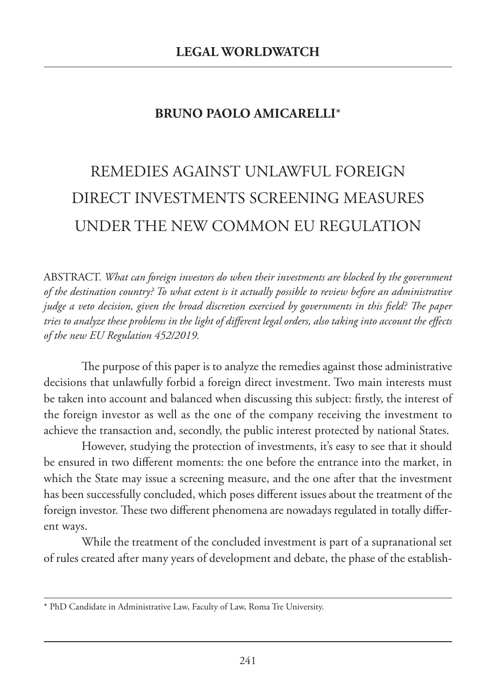## **BRUNO PAOLO AMICARELLI**\*

## REMEDIES AGAINST UNLAWFUL FOREIGN DIRECT INVESTMENTS SCREENING MEASURES UNDER THE NEW COMMON EU REGULATION

ABSTRACT. *What can foreign investors do when their investments are blocked by the government of the destination country? To what extent is it actually possible to review before an administrative judge a veto decision, given the broad discretion exercised by governments in this field? The paper tries to analyze these problems in the light of different legal orders, also taking into account the effects of the new EU Regulation 452/2019.*

The purpose of this paper is to analyze the remedies against those administrative decisions that unlawfully forbid a foreign direct investment. Two main interests must be taken into account and balanced when discussing this subject: firstly, the interest of the foreign investor as well as the one of the company receiving the investment to achieve the transaction and, secondly, the public interest protected by national States.

However, studying the protection of investments, it's easy to see that it should be ensured in two different moments: the one before the entrance into the market, in which the State may issue a screening measure, and the one after that the investment has been successfully concluded, which poses different issues about the treatment of the foreign investor. These two different phenomena are nowadays regulated in totally different ways.

While the treatment of the concluded investment is part of a supranational set of rules created after many years of development and debate, the phase of the establish-

<sup>\*</sup> PhD Candidate in Administrative Law, Faculty of Law, Roma Tre University.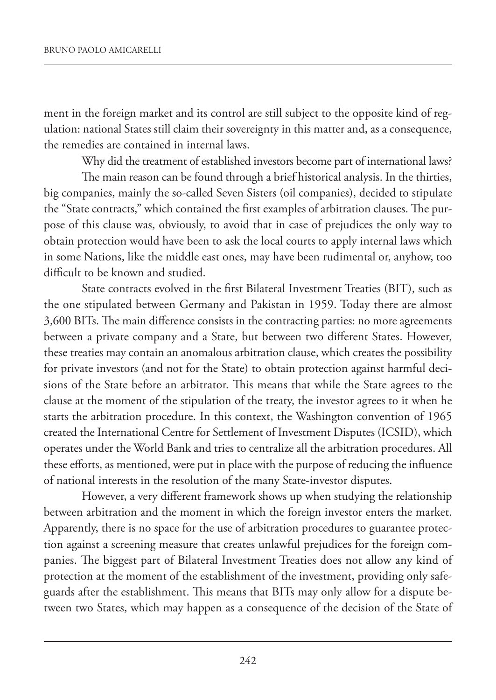ment in the foreign market and its control are still subject to the opposite kind of regulation: national States still claim their sovereignty in this matter and, as a consequence, the remedies are contained in internal laws.

Why did the treatment of established investors become part of international laws?

The main reason can be found through a brief historical analysis. In the thirties, big companies, mainly the so-called Seven Sisters (oil companies), decided to stipulate the "State contracts," which contained the first examples of arbitration clauses. The purpose of this clause was, obviously, to avoid that in case of prejudices the only way to obtain protection would have been to ask the local courts to apply internal laws which in some Nations, like the middle east ones, may have been rudimental or, anyhow, too difficult to be known and studied.

State contracts evolved in the first Bilateral Investment Treaties (BIT), such as the one stipulated between Germany and Pakistan in 1959. Today there are almost 3,600 BITs. The main difference consists in the contracting parties: no more agreements between a private company and a State, but between two different States. However, these treaties may contain an anomalous arbitration clause, which creates the possibility for private investors (and not for the State) to obtain protection against harmful decisions of the State before an arbitrator. This means that while the State agrees to the clause at the moment of the stipulation of the treaty, the investor agrees to it when he starts the arbitration procedure. In this context, the Washington convention of 1965 created the International Centre for Settlement of Investment Disputes (ICSID), which operates under the World Bank and tries to centralize all the arbitration procedures. All these efforts, as mentioned, were put in place with the purpose of reducing the influence of national interests in the resolution of the many State-investor disputes.

However, a very different framework shows up when studying the relationship between arbitration and the moment in which the foreign investor enters the market. Apparently, there is no space for the use of arbitration procedures to guarantee protection against a screening measure that creates unlawful prejudices for the foreign companies. The biggest part of Bilateral Investment Treaties does not allow any kind of protection at the moment of the establishment of the investment, providing only safeguards after the establishment. This means that BITs may only allow for a dispute between two States, which may happen as a consequence of the decision of the State of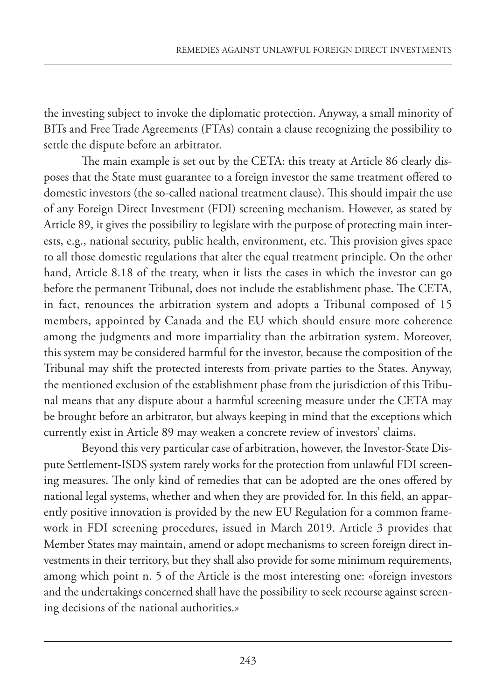the investing subject to invoke the diplomatic protection. Anyway, a small minority of BITs and Free Trade Agreements (FTAs) contain a clause recognizing the possibility to settle the dispute before an arbitrator.

The main example is set out by the CETA: this treaty at Article 86 clearly disposes that the State must guarantee to a foreign investor the same treatment offered to domestic investors (the so-called national treatment clause). This should impair the use of any Foreign Direct Investment (FDI) screening mechanism. However, as stated by Article 89, it gives the possibility to legislate with the purpose of protecting main interests, e.g., national security, public health, environment, etc. This provision gives space to all those domestic regulations that alter the equal treatment principle. On the other hand, Article 8.18 of the treaty, when it lists the cases in which the investor can go before the permanent Tribunal, does not include the establishment phase. The CETA, in fact, renounces the arbitration system and adopts a Tribunal composed of 15 members, appointed by Canada and the EU which should ensure more coherence among the judgments and more impartiality than the arbitration system. Moreover, this system may be considered harmful for the investor, because the composition of the Tribunal may shift the protected interests from private parties to the States. Anyway, the mentioned exclusion of the establishment phase from the jurisdiction of this Tribunal means that any dispute about a harmful screening measure under the CETA may be brought before an arbitrator, but always keeping in mind that the exceptions which currently exist in Article 89 may weaken a concrete review of investors' claims.

Beyond this very particular case of arbitration, however, the Investor-State Dispute Settlement-ISDS system rarely works for the protection from unlawful FDI screening measures. The only kind of remedies that can be adopted are the ones offered by national legal systems, whether and when they are provided for. In this field, an apparently positive innovation is provided by the new EU Regulation for a common framework in FDI screening procedures, issued in March 2019. Article 3 provides that Member States may maintain, amend or adopt mechanisms to screen foreign direct investments in their territory, but they shall also provide for some minimum requirements, among which point n. 5 of the Article is the most interesting one: «foreign investors and the undertakings concerned shall have the possibility to seek recourse against screening decisions of the national authorities.»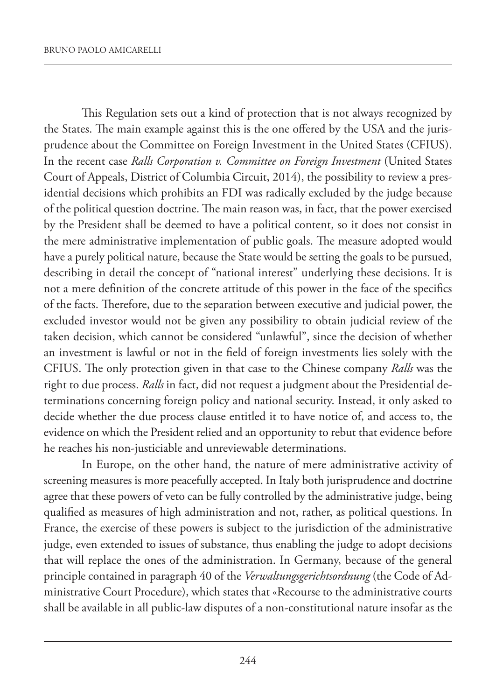This Regulation sets out a kind of protection that is not always recognized by the States. The main example against this is the one offered by the USA and the jurisprudence about the Committee on Foreign Investment in the United States (CFIUS). In the recent case *Ralls Corporation v. Committee on Foreign Investment* (United States Court of Appeals, District of Columbia Circuit, 2014), the possibility to review a presidential decisions which prohibits an FDI was radically excluded by the judge because of the political question doctrine. The main reason was, in fact, that the power exercised by the President shall be deemed to have a political content, so it does not consist in the mere administrative implementation of public goals. The measure adopted would have a purely political nature, because the State would be setting the goals to be pursued, describing in detail the concept of "national interest" underlying these decisions. It is not a mere definition of the concrete attitude of this power in the face of the specifics of the facts. Therefore, due to the separation between executive and judicial power, the excluded investor would not be given any possibility to obtain judicial review of the taken decision, which cannot be considered "unlawful", since the decision of whether an investment is lawful or not in the field of foreign investments lies solely with the CFIUS. The only protection given in that case to the Chinese company *Ralls* was the right to due process. *Ralls* in fact, did not request a judgment about the Presidential determinations concerning foreign policy and national security. Instead, it only asked to decide whether the due process clause entitled it to have notice of, and access to, the evidence on which the President relied and an opportunity to rebut that evidence before he reaches his non-justiciable and unreviewable determinations.

In Europe, on the other hand, the nature of mere administrative activity of screening measures is more peacefully accepted. In Italy both jurisprudence and doctrine agree that these powers of veto can be fully controlled by the administrative judge, being qualified as measures of high administration and not, rather, as political questions. In France, the exercise of these powers is subject to the jurisdiction of the administrative judge, even extended to issues of substance, thus enabling the judge to adopt decisions that will replace the ones of the administration. In Germany, because of the general principle contained in paragraph 40 of the *Verwaltungsgerichtsordnung* (the Code of Administrative Court Procedure), which states that «Recourse to the administrative courts shall be available in all public-law disputes of a non-constitutional nature insofar as the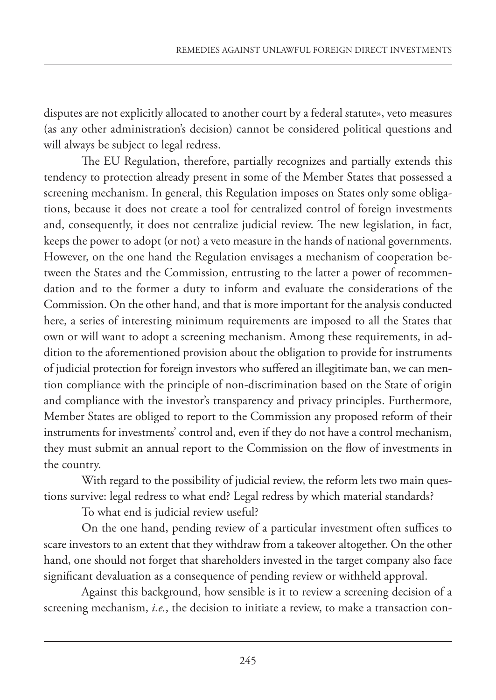disputes are not explicitly allocated to another court by a federal statute», veto measures (as any other administration's decision) cannot be considered political questions and will always be subject to legal redress.

The EU Regulation, therefore, partially recognizes and partially extends this tendency to protection already present in some of the Member States that possessed a screening mechanism. In general, this Regulation imposes on States only some obligations, because it does not create a tool for centralized control of foreign investments and, consequently, it does not centralize judicial review. The new legislation, in fact, keeps the power to adopt (or not) a veto measure in the hands of national governments. However, on the one hand the Regulation envisages a mechanism of cooperation between the States and the Commission, entrusting to the latter a power of recommendation and to the former a duty to inform and evaluate the considerations of the Commission. On the other hand, and that is more important for the analysis conducted here, a series of interesting minimum requirements are imposed to all the States that own or will want to adopt a screening mechanism. Among these requirements, in addition to the aforementioned provision about the obligation to provide for instruments of judicial protection for foreign investors who suffered an illegitimate ban, we can mention compliance with the principle of non-discrimination based on the State of origin and compliance with the investor's transparency and privacy principles. Furthermore, Member States are obliged to report to the Commission any proposed reform of their instruments for investments' control and, even if they do not have a control mechanism, they must submit an annual report to the Commission on the flow of investments in the country.

With regard to the possibility of judicial review, the reform lets two main questions survive: legal redress to what end? Legal redress by which material standards?

To what end is judicial review useful?

On the one hand, pending review of a particular investment often suffices to scare investors to an extent that they withdraw from a takeover altogether. On the other hand, one should not forget that shareholders invested in the target company also face significant devaluation as a consequence of pending review or withheld approval.

Against this background, how sensible is it to review a screening decision of a screening mechanism, *i.e.*, the decision to initiate a review, to make a transaction con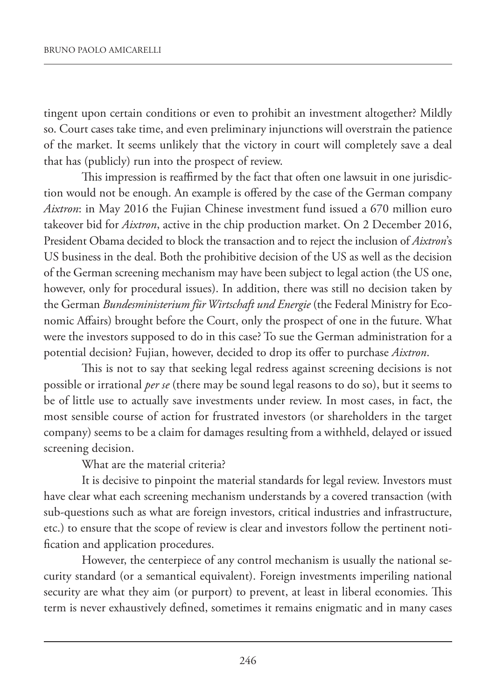tingent upon certain conditions or even to prohibit an investment altogether? Mildly so. Court cases take time, and even preliminary injunctions will overstrain the patience of the market. It seems unlikely that the victory in court will completely save a deal that has (publicly) run into the prospect of review.

This impression is reaffirmed by the fact that often one lawsuit in one jurisdiction would not be enough. An example is offered by the case of the German company *Aixtron*: in May 2016 the Fujian Chinese investment fund issued a 670 million euro takeover bid for *Aixtron*, active in the chip production market. On 2 December 2016, President Obama decided to block the transaction and to reject the inclusion of *Aixtron*'s US business in the deal. Both the prohibitive decision of the US as well as the decision of the German screening mechanism may have been subject to legal action (the US one, however, only for procedural issues). In addition, there was still no decision taken by the German *Bundesministerium für Wirtschaft und Energie* (the Federal Ministry for Economic Affairs) brought before the Court, only the prospect of one in the future. What were the investors supposed to do in this case? To sue the German administration for a potential decision? Fujian, however, decided to drop its offer to purchase *Aixtron*.

This is not to say that seeking legal redress against screening decisions is not possible or irrational *per se* (there may be sound legal reasons to do so), but it seems to be of little use to actually save investments under review. In most cases, in fact, the most sensible course of action for frustrated investors (or shareholders in the target company) seems to be a claim for damages resulting from a withheld, delayed or issued screening decision.

What are the material criteria?

It is decisive to pinpoint the material standards for legal review. Investors must have clear what each screening mechanism understands by a covered transaction (with sub-questions such as what are foreign investors, critical industries and infrastructure, etc.) to ensure that the scope of review is clear and investors follow the pertinent notification and application procedures.

However, the centerpiece of any control mechanism is usually the national security standard (or a semantical equivalent). Foreign investments imperiling national security are what they aim (or purport) to prevent, at least in liberal economies. This term is never exhaustively defined, sometimes it remains enigmatic and in many cases